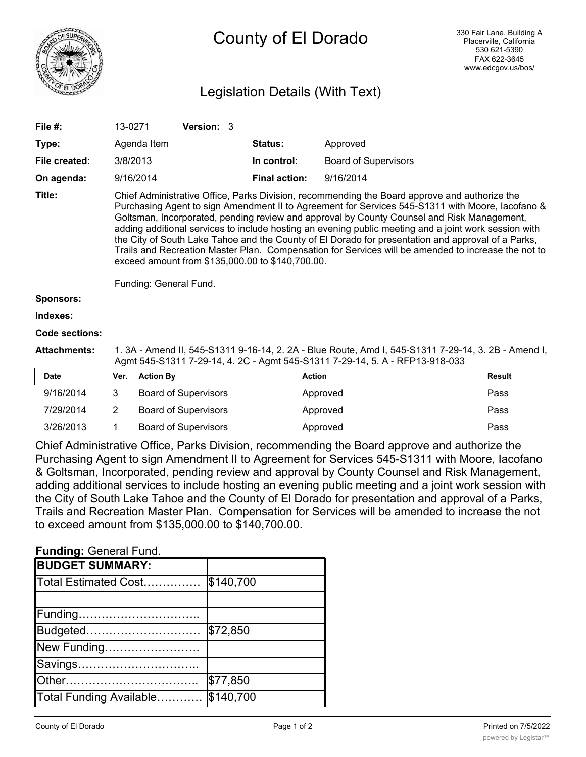

# County of El Dorado

# Legislation Details (With Text)

| File $#$ :          |                                                                                                                                                                                                                                                                                                                                                                                                                                                                                                                                                                                                                                                                                                     | 13-0271          | Version: 3                  |  |                      |                             |               |
|---------------------|-----------------------------------------------------------------------------------------------------------------------------------------------------------------------------------------------------------------------------------------------------------------------------------------------------------------------------------------------------------------------------------------------------------------------------------------------------------------------------------------------------------------------------------------------------------------------------------------------------------------------------------------------------------------------------------------------------|------------------|-----------------------------|--|----------------------|-----------------------------|---------------|
| Type:               |                                                                                                                                                                                                                                                                                                                                                                                                                                                                                                                                                                                                                                                                                                     | Agenda Item      |                             |  | <b>Status:</b>       | Approved                    |               |
| File created:       |                                                                                                                                                                                                                                                                                                                                                                                                                                                                                                                                                                                                                                                                                                     | 3/8/2013         |                             |  | In control:          | <b>Board of Supervisors</b> |               |
| On agenda:          |                                                                                                                                                                                                                                                                                                                                                                                                                                                                                                                                                                                                                                                                                                     | 9/16/2014        |                             |  | <b>Final action:</b> | 9/16/2014                   |               |
| Title:              | Chief Administrative Office, Parks Division, recommending the Board approve and authorize the<br>Purchasing Agent to sign Amendment II to Agreement for Services 545-S1311 with Moore, Iacofano &<br>Goltsman, Incorporated, pending review and approval by County Counsel and Risk Management,<br>adding additional services to include hosting an evening public meeting and a joint work session with<br>the City of South Lake Tahoe and the County of El Dorado for presentation and approval of a Parks,<br>Trails and Recreation Master Plan. Compensation for Services will be amended to increase the not to<br>exceed amount from \$135,000.00 to \$140,700.00.<br>Funding: General Fund. |                  |                             |  |                      |                             |               |
| <b>Sponsors:</b>    |                                                                                                                                                                                                                                                                                                                                                                                                                                                                                                                                                                                                                                                                                                     |                  |                             |  |                      |                             |               |
| Indexes:            |                                                                                                                                                                                                                                                                                                                                                                                                                                                                                                                                                                                                                                                                                                     |                  |                             |  |                      |                             |               |
| Code sections:      |                                                                                                                                                                                                                                                                                                                                                                                                                                                                                                                                                                                                                                                                                                     |                  |                             |  |                      |                             |               |
| <b>Attachments:</b> | 1. 3A - Amend II, 545-S1311 9-16-14, 2. 2A - Blue Route, Amd I, 545-S1311 7-29-14, 3. 2B - Amend I,<br>Agmt 545-S1311 7-29-14, 4. 2C - Agmt 545-S1311 7-29-14, 5. A - RFP13-918-033                                                                                                                                                                                                                                                                                                                                                                                                                                                                                                                 |                  |                             |  |                      |                             |               |
| <b>Date</b>         | Ver.                                                                                                                                                                                                                                                                                                                                                                                                                                                                                                                                                                                                                                                                                                | <b>Action By</b> |                             |  | <b>Action</b>        |                             | <b>Result</b> |
| 9/16/2014           | 3                                                                                                                                                                                                                                                                                                                                                                                                                                                                                                                                                                                                                                                                                                   |                  | <b>Board of Supervisors</b> |  |                      | Approved                    | Pass          |
| 7/29/2014           | 2                                                                                                                                                                                                                                                                                                                                                                                                                                                                                                                                                                                                                                                                                                   |                  | <b>Board of Supervisors</b> |  |                      | Approved                    | Pass          |

Chief Administrative Office, Parks Division, recommending the Board approve and authorize the Purchasing Agent to sign Amendment II to Agreement for Services 545-S1311 with Moore, Iacofano & Goltsman, Incorporated, pending review and approval by County Counsel and Risk Management, adding additional services to include hosting an evening public meeting and a joint work session with the City of South Lake Tahoe and the County of El Dorado for presentation and approval of a Parks, Trails and Recreation Master Plan. Compensation for Services will be amended to increase the not to exceed amount from \$135,000.00 to \$140,700.00.

3/26/2013 1 Board of Supervisors **Approved** Pass

#### **Funding:** General Fund.

| <b>BUDGET SUMMARY:</b>  |           |  |  |  |  |  |
|-------------------------|-----------|--|--|--|--|--|
| Total Estimated Cost    | \$140,700 |  |  |  |  |  |
|                         |           |  |  |  |  |  |
| Funding                 |           |  |  |  |  |  |
| Budgeted                | \$72,850  |  |  |  |  |  |
| New Funding             |           |  |  |  |  |  |
|                         |           |  |  |  |  |  |
|                         | \$77,850  |  |  |  |  |  |
| Total Funding Available | \$140,700 |  |  |  |  |  |